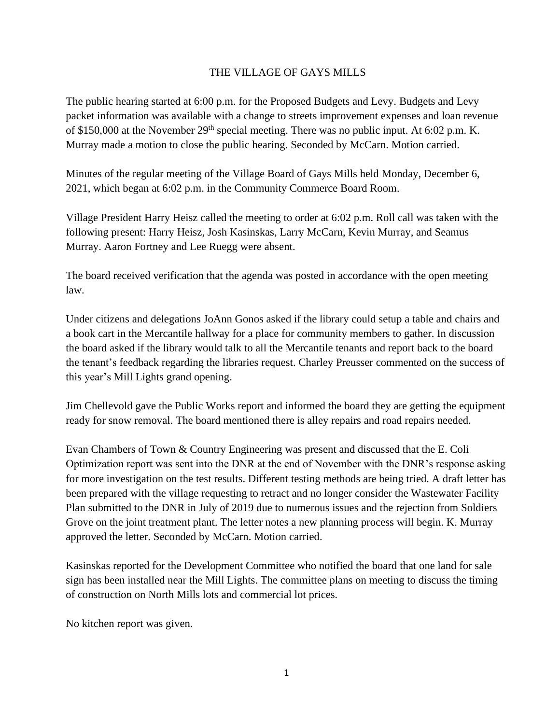## THE VILLAGE OF GAYS MILLS

The public hearing started at 6:00 p.m. for the Proposed Budgets and Levy. Budgets and Levy packet information was available with a change to streets improvement expenses and loan revenue of \$150,000 at the November 29<sup>th</sup> special meeting. There was no public input. At 6:02 p.m. K. Murray made a motion to close the public hearing. Seconded by McCarn. Motion carried.

Minutes of the regular meeting of the Village Board of Gays Mills held Monday, December 6, 2021, which began at 6:02 p.m. in the Community Commerce Board Room.

Village President Harry Heisz called the meeting to order at 6:02 p.m. Roll call was taken with the following present: Harry Heisz, Josh Kasinskas, Larry McCarn, Kevin Murray, and Seamus Murray. Aaron Fortney and Lee Ruegg were absent.

The board received verification that the agenda was posted in accordance with the open meeting law.

Under citizens and delegations JoAnn Gonos asked if the library could setup a table and chairs and a book cart in the Mercantile hallway for a place for community members to gather. In discussion the board asked if the library would talk to all the Mercantile tenants and report back to the board the tenant's feedback regarding the libraries request. Charley Preusser commented on the success of this year's Mill Lights grand opening.

Jim Chellevold gave the Public Works report and informed the board they are getting the equipment ready for snow removal. The board mentioned there is alley repairs and road repairs needed.

Evan Chambers of Town & Country Engineering was present and discussed that the E. Coli Optimization report was sent into the DNR at the end of November with the DNR's response asking for more investigation on the test results. Different testing methods are being tried. A draft letter has been prepared with the village requesting to retract and no longer consider the Wastewater Facility Plan submitted to the DNR in July of 2019 due to numerous issues and the rejection from Soldiers Grove on the joint treatment plant. The letter notes a new planning process will begin. K. Murray approved the letter. Seconded by McCarn. Motion carried.

Kasinskas reported for the Development Committee who notified the board that one land for sale sign has been installed near the Mill Lights. The committee plans on meeting to discuss the timing of construction on North Mills lots and commercial lot prices.

No kitchen report was given.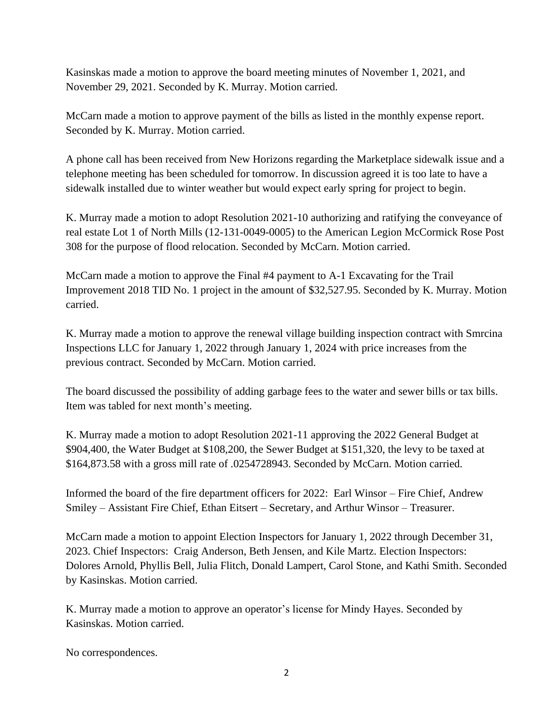Kasinskas made a motion to approve the board meeting minutes of November 1, 2021, and November 29, 2021. Seconded by K. Murray. Motion carried.

McCarn made a motion to approve payment of the bills as listed in the monthly expense report. Seconded by K. Murray. Motion carried.

A phone call has been received from New Horizons regarding the Marketplace sidewalk issue and a telephone meeting has been scheduled for tomorrow. In discussion agreed it is too late to have a sidewalk installed due to winter weather but would expect early spring for project to begin.

K. Murray made a motion to adopt Resolution 2021-10 authorizing and ratifying the conveyance of real estate Lot 1 of North Mills (12-131-0049-0005) to the American Legion McCormick Rose Post 308 for the purpose of flood relocation. Seconded by McCarn. Motion carried.

McCarn made a motion to approve the Final #4 payment to A-1 Excavating for the Trail Improvement 2018 TID No. 1 project in the amount of \$32,527.95. Seconded by K. Murray. Motion carried.

K. Murray made a motion to approve the renewal village building inspection contract with Smrcina Inspections LLC for January 1, 2022 through January 1, 2024 with price increases from the previous contract. Seconded by McCarn. Motion carried.

The board discussed the possibility of adding garbage fees to the water and sewer bills or tax bills. Item was tabled for next month's meeting.

K. Murray made a motion to adopt Resolution 2021-11 approving the 2022 General Budget at \$904,400, the Water Budget at \$108,200, the Sewer Budget at \$151,320, the levy to be taxed at \$164,873.58 with a gross mill rate of .0254728943. Seconded by McCarn. Motion carried.

Informed the board of the fire department officers for 2022: Earl Winsor – Fire Chief, Andrew Smiley – Assistant Fire Chief, Ethan Eitsert – Secretary, and Arthur Winsor – Treasurer.

McCarn made a motion to appoint Election Inspectors for January 1, 2022 through December 31, 2023. Chief Inspectors: Craig Anderson, Beth Jensen, and Kile Martz. Election Inspectors: Dolores Arnold, Phyllis Bell, Julia Flitch, Donald Lampert, Carol Stone, and Kathi Smith. Seconded by Kasinskas. Motion carried.

K. Murray made a motion to approve an operator's license for Mindy Hayes. Seconded by Kasinskas. Motion carried.

No correspondences.